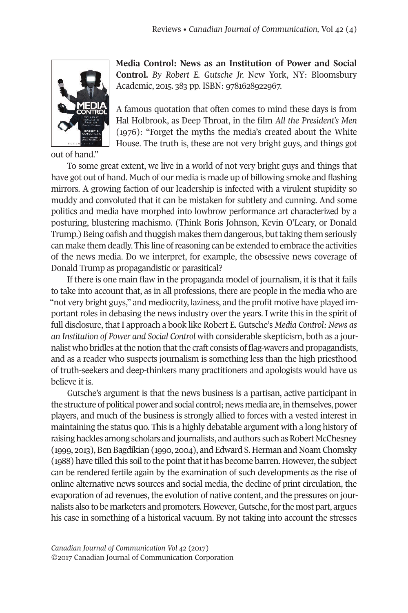

out of hand."

**Media Control: News as an Institution of Power and Social Control.** *By Robert E. Gutsche Jr.* New York, NY: Bloomsbury Academic, 2015. 383 pp. ISBN: 9781628922967.

A famous quotation that often comes to mind these days is from Hal Holbrook, as Deep Throat, in the film *All the President's Men* (1976): "Forget the myths the media's created about the White House. The truth is, these are not very bright guys, and things got

To some great extent, we live in a world of not very bright guys and things that have got out of hand. Much of our media is made up of billowing smoke and flashing mirrors. A growing faction of our leadership is infected with a virulent stupidity so muddy and convoluted that it can be mistaken for subtlety and cunning. And some politics and media have morphed into lowbrow performance art characterized by a posturing, blustering machismo. (Think Boris Johnson, Kevin O'Leary, or Donald Trump.) Being oafish and thuggish makes them dangerous, but taking them seriously can make them deadly. This line ofreasoning can be extended to embrace the activities of the news media. Do we interpret, for example, the obsessive news coverage of Donald Trump as propagandistic or parasitical?

If there is one main flaw in the propaganda model of journalism, it is that it fails to take into account that, as in all professions, there are people in the media who are "not very bright guys," and mediocrity, laziness, and the profit motive have played important roles in debasing the news industry over the years. I write this in the spirit of full disclosure, that I approach a book like Robert E. Gutsche's *Media Control: News as an Institution of Power and Social Control* with considerable skepticism, both as a journalist who bridles at the notion that the craft consists of flag-wavers and propagandists, and as a reader who suspects journalism is something less than the high priesthood of truth-seekers and deep-thinkers many practitioners and apologists would have us believe it is.

Gutsche's argument is that the news business is a partisan, active participant in the structure of political power and social control; news media are, in themselves, power players, and much of the business is strongly allied to forces with a vested interest in maintaining the status quo. This is a highly debatable argument with a long history of raising hackles among scholars and journalists, and authors such as Robert McChesney (1999, 2013), Ben Bagdikian (1990, 2004), and Edward S. Herman and Noam Chomsky (1988) have tilled this soil to the point that it has become barren. However, the subject can be rendered fertile again by the examination of such developments as the rise of online alternative news sources and social media, the decline of print circulation, the evaporation of ad revenues, the evolution of native content, and the pressures on journalists also to be marketers and promoters. However, Gutsche, for the most part, argues his case in something of a historical vacuum. By not taking into account the stresses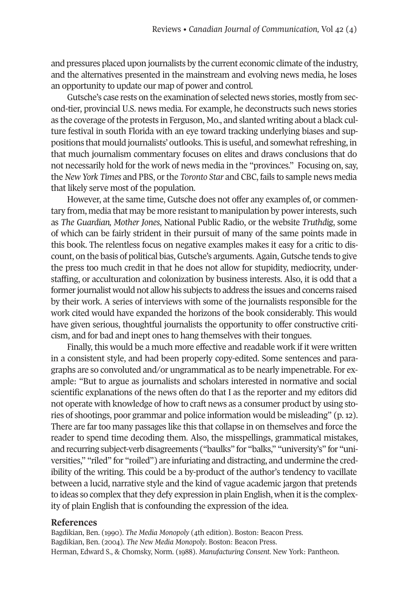and pressures placed upon journalists by the current economic climate ofthe industry, and the alternatives presented in the mainstream and evolving news media, he loses an opportunity to update our map of power and control.

Gutsche's case rests on the examination of selected news stories, mostly from second-tier, provincial U.S. news media. For example, he deconstructs such news stories as the coverage of the protests in Ferguson, Mo., and slanted writing about a black culture festival in south Florida with an eye toward tracking underlying biases and suppositions that mould journalists' outlooks. This is useful, and somewhat refreshing, in that much journalism commentary focuses on elites and draws conclusions that do not necessarily hold for the work of news media in the "provinces." Focusing on, say, the *New York Times* and PBS, orthe *Toronto Star* and CBC, fails to sample news media that likely serve most of the population.

However, at the same time, Gutsche does not offer any examples of, or commentary from, media that may be more resistant to manipulation by power interests, such as *The Guardian, Mother Jones*, National Public Radio, or the website *Truthdig*, some of which can be fairly strident in their pursuit of many of the same points made in this book. The relentless focus on negative examples makes it easy for a critic to discount, on the basis of political bias, Gutsche's arguments. Again, Gutsche tends to give the press too much credit in that he does not allow for stupidity, mediocrity, understaffing, or acculturation and colonization by business interests. Also, it is odd that a former journalist would not allow his subjects to address the issues and concerns raised by their work. A series of interviews with some of the journalists responsible for the work cited would have expanded the horizons of the book considerably. This would have given serious, thoughtful journalists the opportunity to offer constructive criticism, and for bad and inept ones to hang themselves with their tongues.

Finally, this would be a much more effective and readable work if it were written in a consistent style, and had been properly copy-edited. Some sentences and paragraphs are so convoluted and/or ungrammatical as to be nearly impenetrable. For example: "But to argue as journalists and scholars interested in normative and social scientific explanations of the news often do that I as the reporter and my editors did not operate with knowledge of how to craft news as a consumer product by using stories of shootings, poor grammar and police information would be misleading" (p.12). There are far too many passages like this that collapse in on themselves and force the reader to spend time decoding them. Also, the misspellings, grammatical mistakes, and recurring subject-verb disagreements ("baulks" for "balks," "university's" for "universities," "riled" for "roiled") are infuriating and distracting, and undermine the credibility of the writing. This could be a by-product of the author's tendency to vacillate between a lucid, narrative style and the kind of vague academic jargon that pretends to ideas so complex that they defy expression in plain English, when it is the complexity of plain English that is confounding the expression of the idea.

## **References**

Bagdikian, Ben. (1990). *The Media Monopoly* (4th edition). Boston: Beacon Press. Bagdikian, Ben. (2004). *The New Media Monopoly*. Boston: Beacon Press. Herman, Edward S., & Chomsky, Norm. (1988). *Manufacturing Consent*. New York: Pantheon.